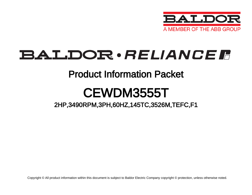

# BALDOR · RELIANCE F

### Product Information Packet

# CEWDM3555T

### 2HP,3490RPM,3PH,60HZ,145TC,3526M,TEFC,F1

Copyright © All product information within this document is subject to Baldor Electric Company copyright © protection, unless otherwise noted.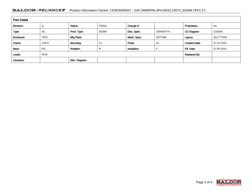#### BALDOR · RELIANCE F Product Information Packet: CEWDM3555T - 2HP,3490RPM,3PH,60HZ,145TC,3526M,TEFC,F1

| <b>Part Detail</b> |             |                  |                     |             |          |                      |            |  |  |
|--------------------|-------------|------------------|---------------------|-------------|----------|----------------------|------------|--|--|
| Revision:          | Q           | Status:          | PRD/A               | Change #:   |          | Proprietary:         | No         |  |  |
| Type:              | <b>AC</b>   | Prod. Type:      | 3526M               | Elec. Spec: | 35WGM774 | CD Diagram:          | CD0005     |  |  |
| Enclosure:         | <b>TEFC</b> | Mfg Plant:       |                     | Mech. Spec: | 35TT936  | Layout:              | 35LYTT936  |  |  |
| Frame:             | 145TC       | Mounting:        | F <sub>1</sub>      | Poles:      | 02       | <b>Created Date:</b> | 07-15-2010 |  |  |
| Base:              | <b>RG</b>   | <b>Rotation:</b> | R                   | Insulation: |          | Eff. Date:           | 07-06-2015 |  |  |
| Leads:             | 9#18        |                  | <b>Replaced By:</b> |             |          |                      |            |  |  |
| Literature:        |             | Elec. Diagram:   |                     |             |          |                      |            |  |  |

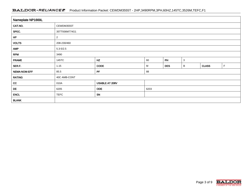#### BALDOR · RELIANCE F Product Information Packet: CEWDM3555T - 2HP,3490RPM,3PH,60HZ,145TC,3526M,TEFC,F1

| Nameplate NP1669L |                |                |      |            |   |              |              |  |  |  |
|-------------------|----------------|----------------|------|------------|---|--------------|--------------|--|--|--|
| CAT.NO.           | CEWDM3555T     |                |      |            |   |              |              |  |  |  |
| SPEC.             | 35TT936M774G1  |                |      |            |   |              |              |  |  |  |
| HP                | $\overline{2}$ |                |      |            |   |              |              |  |  |  |
| <b>VOLTS</b>      | 208-230/460    |                |      |            |   |              |              |  |  |  |
| <b>AMP</b>        | $5.3 - 5/2.5$  |                |      |            |   |              |              |  |  |  |
| <b>RPM</b>        | 3490           |                |      |            |   |              |              |  |  |  |
| <b>FRAME</b>      | 145TC          | HZ             | 60   | PH         | 3 |              |              |  |  |  |
| SER.F.            | 1.15           | <b>CODE</b>    | M    | <b>DES</b> | B | <b>CLASS</b> | $\mathsf{F}$ |  |  |  |
| NEMA-NOM-EFF      | 85.5           | PF             | 88   |            |   |              |              |  |  |  |
| <b>RATING</b>     | 40C AMB-CONT   |                |      |            |   |              |              |  |  |  |
| cc                | 010A           | USABLE AT 208V |      |            |   |              |              |  |  |  |
| DE                | 6205           | <b>ODE</b>     | 6203 |            |   |              |              |  |  |  |
| <b>ENCL</b>       | <b>TEFC</b>    | SN             |      |            |   |              |              |  |  |  |
| <b>BLANK</b>      |                |                |      |            |   |              |              |  |  |  |

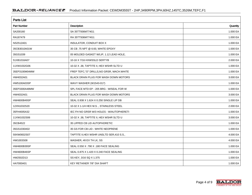| <b>Parts List</b>  |                                            |          |  |  |  |  |
|--------------------|--------------------------------------------|----------|--|--|--|--|
| <b>Part Number</b> | <b>Description</b>                         | Quantity |  |  |  |  |
| SA200160           | SA 35TT936M774G1                           | 1.000 EA |  |  |  |  |
| RA187479           | RA 35TT936M774G1                           | 1.000 EA |  |  |  |  |
| NS2512A01          | INSULATOR, CONDUIT BOX X                   | 1.000 EA |  |  |  |  |
| 35CB3010A01W       | 35 CB .75 NPT @ 6:00, WHITE EPOXY          | 1.000 EA |  |  |  |  |
| 35GS1039           | 05 MOLDED GASKET W/LIP, 1.12 LEAD HOLE,    | 1.000 EA |  |  |  |  |
| 51XB1016A07        | 10-16 X 7/16 HXWSSLD SERTYB                | 2.000 EA |  |  |  |  |
| 11XW1032G06        | 10-32 X .38, TAPTITE II, HEX WSHR SLTD U   | 1.000 EA |  |  |  |  |
| 35EP3100M04MW      | FREP TEFC,"O" DRILLS, NO GRSR, MACH. WHITE | 1.000 EA |  |  |  |  |
| HW4032A01          | BLACK DRAIN PLUG FOR WASH DOWN MOTORS      | 3.000 EA |  |  |  |  |
| HW5100A03SP        | WAVY WASHER (W1543-017)                    | 1.000 EA |  |  |  |  |
| 35EP3300A48MW      | SPL FACE MTD EP - 205 BRG - W/SEAL FOR W   | 1.000 EA |  |  |  |  |
| HW4032A01          | BLACK DRAIN PLUG FOR WASH DOWN MOTORS      | 3.000 EA |  |  |  |  |
| HW4600B49SP        | SEAL 0.938 X 1.624 X 0.250 SINGLE LIP DB   | 1.000 EA |  |  |  |  |
| 12XN1032S20        | 10-32 X 1-1/4 HEX M.S., STAINLESS STEEL    | 2.000 EA |  |  |  |  |
| 35FH4005A32        | IEC FH NO GRSR W/3 HOLES - W/AUTOPHERETI   | 1.000 EA |  |  |  |  |
| 11XW1032S06        | 10-32 X .38, TAPTITE II, HEX WSHR SLTD U   | 3.000 EA |  |  |  |  |
| 35CB4522           | 35 LIPPED CB LID AUTOPHORETIC              | 1.000 EA |  |  |  |  |
| 35GS1030A02        | 35 GS FOR CB LID - WHITE NEOPRENE          | 1.000 EA |  |  |  |  |
| 59XW0832S07        | TAPTITE II, HEX WSHR UNSLTD SER, 410 S.S., | 4.000 EA |  |  |  |  |
| HW1003S08          | WASHER, #8 EX TH LK, SS                    | 4.000 EA |  |  |  |  |
| HW4600B39SP        | SEAL 0.550 X .790 X .180 FACE SEALING      | 1.000 EA |  |  |  |  |
| <b>HW4600B46SP</b> | SEAL 0.875 X 1.420 X 0.240 FACE SEALING    | 1.000 EA |  |  |  |  |
| HW2502D13          | SS KEY, 3/16 SQ X 1.375                    | 1.000 EA |  |  |  |  |
| HA7000A01          | KEY RETAINER 7/8" DIA SHAFT                | 1.000 EA |  |  |  |  |

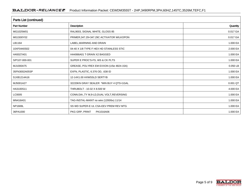| Parts List (continued) |                                             |          |  |  |  |  |
|------------------------|---------------------------------------------|----------|--|--|--|--|
| <b>Part Number</b>     | Description                                 | Quantity |  |  |  |  |
| MG1025W01              | RAL9003, SIGNAL WHITE, GLOSS 85             | 0.017 GA |  |  |  |  |
| MG1500Y02              | PRIMER, 347.29+347.29C ACTIVATOR WILKOPON   | 0.017 GA |  |  |  |  |
| LB1164                 | LABEL, WARNING AND DRAIN                    | 1.000 EA |  |  |  |  |
| 10XF0440S02            | 04-40 X 1/8 TYPE F HEX HD STAINLESS STIC    | 2.000 EA |  |  |  |  |
| HA5027A01              | HA4066A01 T-DRAIN X2 BAGGED                 | 1.000 EA |  |  |  |  |
| S/P107-000-001         | SUPER E PROC'S-FS, WS & CK PLTS             | 1.000 EA |  |  |  |  |
| MJ1000A75              | GREASE, POLYREX EM EXXON (USe 4824-15A)     | 0.050 LB |  |  |  |  |
| 35FN3002A05SP          | EXFN, PLASTIC, 6.376 OD, .638 ID            | 1.000 EA |  |  |  |  |
| 51XB1214A16            | 12-14X1.00 HXWSSLD SERTYB                   | 1.000 EA |  |  |  |  |
| MJ5001A27              | 32220KN GRAY SEALER *MIN BUY 4 QTS=1GAL     | 0.001 QT |  |  |  |  |
| HA3100S11              | THRUBOLT - 10-32 X 8.500 W                  | 4.000 EA |  |  |  |  |
| LC0005                 | CONN.DIA., TY M, 9-LD, DUAL VOLT, REVERSING | 1.000 EA |  |  |  |  |
| MN416A01               | TAG-INSTAL-MAINT no wire (1200/bx) 11/14    | 1.000 EA |  |  |  |  |
| NP1669L                | SS WD SUPER-E UL CSA-EEV PREM REV MTG       | 1.000 EA |  |  |  |  |
| 36PA1000               | PKG GRP, PRINT<br>PK1016A06                 | 1.000 EA |  |  |  |  |

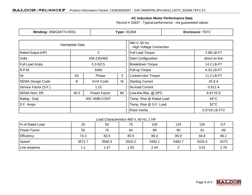#### **AC Induction Motor Performance Data**

Record # 31837 - Typical performance - not guaranteed values

| <b>Winding: 35WGM774-R001</b>       |                | <b>Type: 3526M</b> |                                                 | <b>Enclosure: TEFC</b>     |                 |  |
|-------------------------------------|----------------|--------------------|-------------------------------------------------|----------------------------|-----------------|--|
|                                     | Nameplate Data |                    | 460 V, 60 Hz:<br><b>High Voltage Connection</b> |                            |                 |  |
| Rated Output (HP)<br>$\overline{2}$ |                |                    | Full Load Torque                                | 2.98 LB-FT                 |                 |  |
| <b>Volts</b>                        |                | 208-230/460        |                                                 | <b>Start Configuration</b> | direct on line  |  |
| <b>Full Load Amps</b>               |                | $5.3 - 5/2.5$      |                                                 | <b>Breakdown Torque</b>    | 14.2 LB-FT      |  |
| R.P.M.                              |                | 3490               |                                                 | Pull-up Torque             | 6.33 LB-FT      |  |
| Hz                                  | 60             | Phase              | 3                                               | Locked-rotor Torque        | 11.2 LB-FT      |  |
| NEMA Design Code                    | B              | <b>KVA Code</b>    | М                                               | <b>Starting Current</b>    | 25.9 A          |  |
| Service Factor (S.F.)               | 1.15           |                    |                                                 | No-load Current            | 0.912A          |  |
| NEMA Nom. Eff.                      | 85.5           | Power Factor       | 88                                              | Line-line Res. @ 25°C      | $6.9119 \Omega$ |  |
| Rating - Duty                       | 40C AMB-CONT   |                    |                                                 | Temp. Rise @ Rated Load    | $44^{\circ}$ C  |  |
| S.F. Amps                           |                |                    |                                                 | Temp. Rise @ S.F. Load     | $52^{\circ}$ C  |  |
|                                     |                |                    |                                                 | Rotor inertia              | 0.0719 LB-FT2   |  |

#### Load Characteristics 460 V, 60 Hz, 2 HP

| % of Rated Load | 25     | 50     | 75     | 100    | 125    | 150    | S.F. |
|-----------------|--------|--------|--------|--------|--------|--------|------|
| Power Factor    | 55     | 75     | 84     | 88     | 90     | 91     | 89   |
| Efficiency      | 74.3   | 83.5   | 85.9   | 86.4   | 85.9   | 84.8   | 86.1 |
| Speed           | 3571.7 | 3546.5 | 3520.2 | 3492.1 | 3460.7 | 3425.5 | 3473 |
| Line amperes    | 1.1    | 1.47   | 1.93   | 2.44   |        | 3.61   | 2.78 |

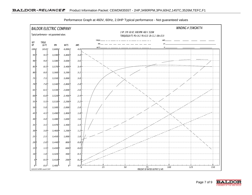

Performance Graph at 460V, 60Hz, 2.0HP Typical performance - Not guaranteed values

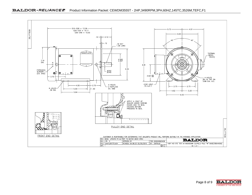